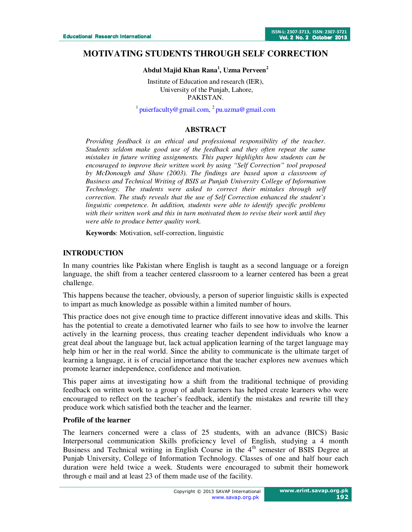# **MOTIVATING STUDENTS THROUGH SELF CORRECTION**

### **Abdul Majid Khan Rana<sup>1</sup> , Uzma Perveen<sup>2</sup>**

Institute of Education and research (IER), University of the Punjab, Lahore, PAKISTAN.

 $1$  puierfaculty@gmail.com,  $2$  pu.uzma@gmail.com

### **ABSTRACT**

*Providing feedback is an ethical and professional responsibility of the teacher. Students seldom make good use of the feedback and they often repeat the same mistakes in future writing assignments. This paper highlights how students can be encouraged to improve their written work by using "Self Correction" tool proposed by McDonough and Shaw (2003). The findings are based upon a classroom of Business and Technical Writing of BSIS at Punjab University College of Information Technology. The students were asked to correct their mistakes through self correction. The study reveals that the use of Self Correction enhanced the student's linguistic competence. In addition, students were able to identify specific problems with their written work and this in turn motivated them to revise their work until they were able to produce better quality work.* 

**Keywords**: Motivation, self-correction, linguistic

#### **INTRODUCTION**

In many countries like Pakistan where English is taught as a second language or a foreign language, the shift from a teacher centered classroom to a learner centered has been a great challenge.

This happens because the teacher, obviously, a person of superior linguistic skills is expected to impart as much knowledge as possible within a limited number of hours.

This practice does not give enough time to practice different innovative ideas and skills. This has the potential to create a demotivated learner who fails to see how to involve the learner actively in the learning process, thus creating teacher dependent individuals who know a great deal about the language but, lack actual application learning of the target language may help him or her in the real world. Since the ability to communicate is the ultimate target of learning a language, it is of crucial importance that the teacher explores new avenues which promote learner independence, confidence and motivation.

This paper aims at investigating how a shift from the traditional technique of providing feedback on written work to a group of adult learners has helped create learners who were encouraged to reflect on the teacher's feedback, identify the mistakes and rewrite till they produce work which satisfied both the teacher and the learner.

#### **Profile of the learner**

The learners concerned were a class of 25 students, with an advance (BICS) Basic Interpersonal communication Skills proficiency level of English, studying a 4 month Business and Technical writing in English Course in the 4<sup>th</sup> semester of BSIS Degree at Punjab University, College of Information Technology. Classes of one and half hour each duration were held twice a week. Students were encouraged to submit their homework through e mail and at least 23 of them made use of the facility.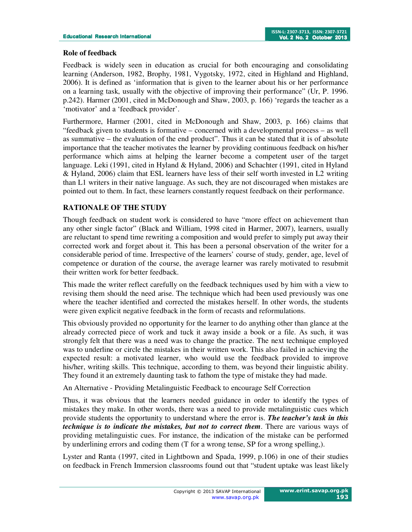### **Role of feedback**

Feedback is widely seen in education as crucial for both encouraging and consolidating learning (Anderson, 1982, Brophy, 1981, Vygotsky, 1972, cited in Highland and Highland, 2006). It is defined as 'information that is given to the learner about his or her performance on a learning task, usually with the objective of improving their performance" (Ur, P. 1996. p.242). Harmer (2001, cited in McDonough and Shaw, 2003, p. 166) 'regards the teacher as a 'motivator' and a 'feedback provider'.

Furthermore, Harmer (2001, cited in McDonough and Shaw, 2003, p. 166) claims that "feedback given to students is formative – concerned with a developmental process – as well as summative – the evaluation of the end product". Thus it can be stated that it is of absolute importance that the teacher motivates the learner by providing continuous feedback on his/her performance which aims at helping the learner become a competent user of the target language. Leki (1991, cited in Hyland & Hyland, 2006) and Schachter (1991, cited in Hyland & Hyland, 2006) claim that ESL learners have less of their self worth invested in L2 writing than L1 writers in their native language. As such, they are not discouraged when mistakes are pointed out to them. In fact, these learners constantly request feedback on their performance.

## **RATIONALE OF THE STUDY**

Though feedback on student work is considered to have "more effect on achievement than any other single factor" (Black and William, 1998 cited in Harmer, 2007), learners, usually are reluctant to spend time rewriting a composition and would prefer to simply put away their corrected work and forget about it. This has been a personal observation of the writer for a considerable period of time. Irrespective of the learners' course of study, gender, age, level of competence or duration of the course, the average learner was rarely motivated to resubmit their written work for better feedback.

This made the writer reflect carefully on the feedback techniques used by him with a view to revising them should the need arise. The technique which had been used previously was one where the teacher identified and corrected the mistakes herself. In other words, the students were given explicit negative feedback in the form of recasts and reformulations.

This obviously provided no opportunity for the learner to do anything other than glance at the already corrected piece of work and tuck it away inside a book or a file. As such, it was strongly felt that there was a need was to change the practice. The next technique employed was to underline or circle the mistakes in their written work. This also failed in achieving the expected result: a motivated learner, who would use the feedback provided to improve his/her, writing skills. This technique, according to them, was beyond their linguistic ability. They found it an extremely daunting task to fathom the type of mistake they had made.

An Alternative - Providing Metalinguistic Feedback to encourage Self Correction

Thus, it was obvious that the learners needed guidance in order to identify the types of mistakes they make. In other words, there was a need to provide metalinguistic cues which provide students the opportunity to understand where the error is. *The teacher's task in this technique is to indicate the mistakes, but not to correct them.* There are various ways of providing metalinguistic cues. For instance, the indication of the mistake can be performed by underlining errors and coding them (T for a wrong tense, SP for a wrong spelling,).

Lyster and Ranta (1997, cited in Lightbown and Spada, 1999, p.106) in one of their studies on feedback in French Immersion classrooms found out that "student uptake was least likely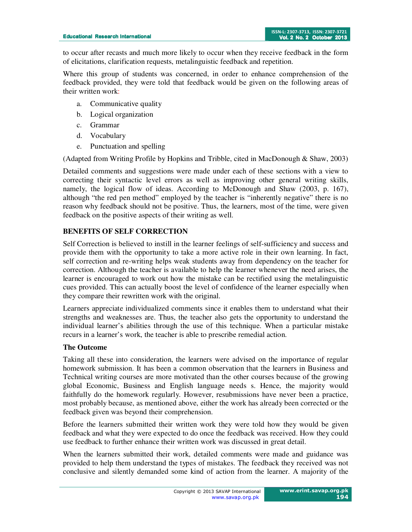to occur after recasts and much more likely to occur when they receive feedback in the form of elicitations, clarification requests, metalinguistic feedback and repetition.

Where this group of students was concerned, in order to enhance comprehension of the feedback provided, they were told that feedback would be given on the following areas of their written work:

- a. Communicative quality
- b. Logical organization
- c. Grammar
- d. Vocabulary
- e. Punctuation and spelling

(Adapted from Writing Profile by Hopkins and Tribble, cited in MacDonough & Shaw, 2003)

Detailed comments and suggestions were made under each of these sections with a view to correcting their syntactic level errors as well as improving other general writing skills, namely, the logical flow of ideas. According to McDonough and Shaw (2003, p. 167), although "the red pen method" employed by the teacher is "inherently negative" there is no reason why feedback should not be positive. Thus, the learners, most of the time, were given feedback on the positive aspects of their writing as well.

# **BENEFITS OF SELF CORRECTION**

Self Correction is believed to instill in the learner feelings of self-sufficiency and success and provide them with the opportunity to take a more active role in their own learning. In fact, self correction and re-writing helps weak students away from dependency on the teacher for correction. Although the teacher is available to help the learner whenever the need arises, the learner is encouraged to work out how the mistake can be rectified using the metalinguistic cues provided. This can actually boost the level of confidence of the learner especially when they compare their rewritten work with the original.

Learners appreciate individualized comments since it enables them to understand what their strengths and weaknesses are. Thus, the teacher also gets the opportunity to understand the individual learner's abilities through the use of this technique. When a particular mistake recurs in a learner's work, the teacher is able to prescribe remedial action.

## **The Outcome**

Taking all these into consideration, the learners were advised on the importance of regular homework submission. It has been a common observation that the learners in Business and Technical writing courses are more motivated than the other courses because of the growing global Economic, Business and English language needs s. Hence, the majority would faithfully do the homework regularly. However, resubmissions have never been a practice, most probably because, as mentioned above, either the work has already been corrected or the feedback given was beyond their comprehension.

Before the learners submitted their written work they were told how they would be given feedback and what they were expected to do once the feedback was received. How they could use feedback to further enhance their written work was discussed in great detail.

When the learners submitted their work, detailed comments were made and guidance was provided to help them understand the types of mistakes. The feedback they received was not conclusive and silently demanded some kind of action from the learner. A majority of the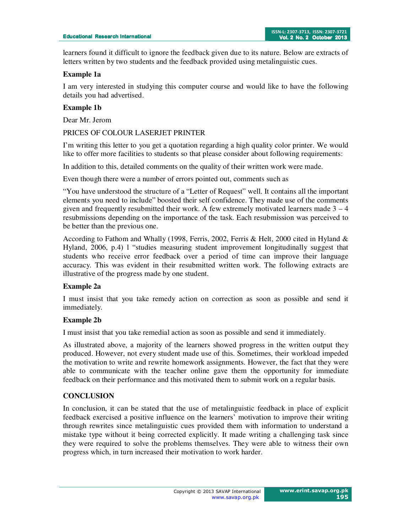learners found it difficult to ignore the feedback given due to its nature. Below are extracts of letters written by two students and the feedback provided using metalinguistic cues.

### **Example 1a**

I am very interested in studying this computer course and would like to have the following details you had advertised.

### **Example 1b**

Dear Mr. Jerom

#### PRICES OF COLOUR LASERJET PRINTER

I'm writing this letter to you get a quotation regarding a high quality color printer. We would like to offer more facilities to students so that please consider about following requirements:

In addition to this, detailed comments on the quality of their written work were made.

Even though there were a number of errors pointed out, comments such as

"You have understood the structure of a "Letter of Request" well. It contains all the important elements you need to include" boosted their self confidence. They made use of the comments given and frequently resubmitted their work. A few extremely motivated learners made  $3 - 4$ resubmissions depending on the importance of the task. Each resubmission was perceived to be better than the previous one.

According to Fathom and Whally (1998, Ferris, 2002, Ferris & Helt, 2000 cited in Hyland & Hyland, 2006, p.4) l "studies measuring student improvement longitudinally suggest that students who receive error feedback over a period of time can improve their language accuracy. This was evident in their resubmitted written work. The following extracts are illustrative of the progress made by one student.

#### **Example 2a**

I must insist that you take remedy action on correction as soon as possible and send it immediately.

#### **Example 2b**

I must insist that you take remedial action as soon as possible and send it immediately.

As illustrated above, a majority of the learners showed progress in the written output they produced. However, not every student made use of this. Sometimes, their workload impeded the motivation to write and rewrite homework assignments. However, the fact that they were able to communicate with the teacher online gave them the opportunity for immediate feedback on their performance and this motivated them to submit work on a regular basis.

#### **CONCLUSION**

In conclusion, it can be stated that the use of metalinguistic feedback in place of explicit feedback exercised a positive influence on the learners' motivation to improve their writing through rewrites since metalinguistic cues provided them with information to understand a mistake type without it being corrected explicitly. It made writing a challenging task since they were required to solve the problems themselves. They were able to witness their own progress which, in turn increased their motivation to work harder.